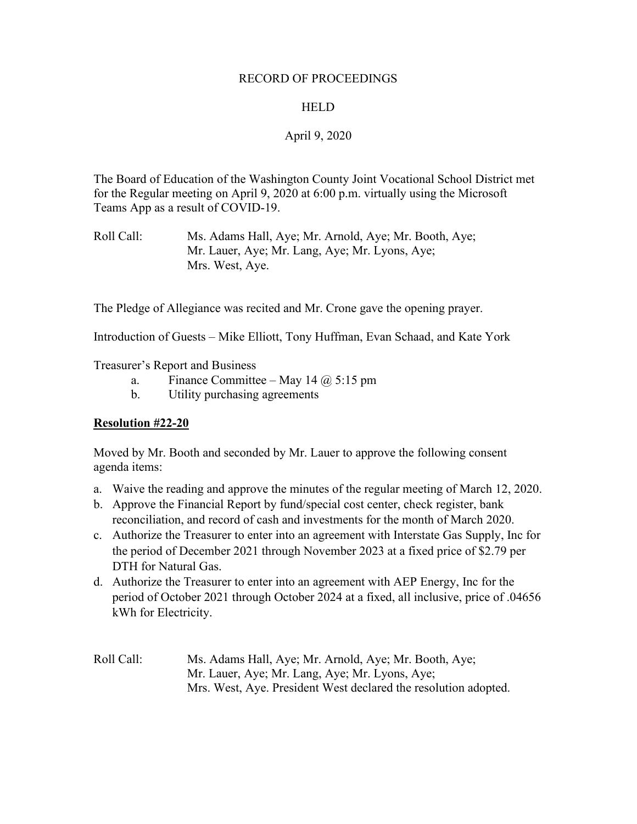#### RECORD OF PROCEEDINGS

### HELD

## April 9, 2020

The Board of Education of the Washington County Joint Vocational School District met for the Regular meeting on April 9, 2020 at 6:00 p.m. virtually using the Microsoft Teams App as a result of COVID-19.

Roll Call: Ms. Adams Hall, Aye; Mr. Arnold, Aye; Mr. Booth, Aye; Mr. Lauer, Aye; Mr. Lang, Aye; Mr. Lyons, Aye; Mrs. West, Aye.

The Pledge of Allegiance was recited and Mr. Crone gave the opening prayer.

Introduction of Guests – Mike Elliott, Tony Huffman, Evan Schaad, and Kate York

Treasurer's Report and Business

- a. Finance Committee May 14  $\omega$  5:15 pm
- b. Utility purchasing agreements

### **Resolution #22-20**

Moved by Mr. Booth and seconded by Mr. Lauer to approve the following consent agenda items:

- a. Waive the reading and approve the minutes of the regular meeting of March 12, 2020.
- b. Approve the Financial Report by fund/special cost center, check register, bank reconciliation, and record of cash and investments for the month of March 2020.
- c. Authorize the Treasurer to enter into an agreement with Interstate Gas Supply, Inc for the period of December 2021 through November 2023 at a fixed price of \$2.79 per DTH for Natural Gas.
- d. Authorize the Treasurer to enter into an agreement with AEP Energy, Inc for the period of October 2021 through October 2024 at a fixed, all inclusive, price of .04656 kWh for Electricity.
- Roll Call: Ms. Adams Hall, Aye; Mr. Arnold, Aye; Mr. Booth, Aye; Mr. Lauer, Aye; Mr. Lang, Aye; Mr. Lyons, Aye; Mrs. West, Aye. President West declared the resolution adopted.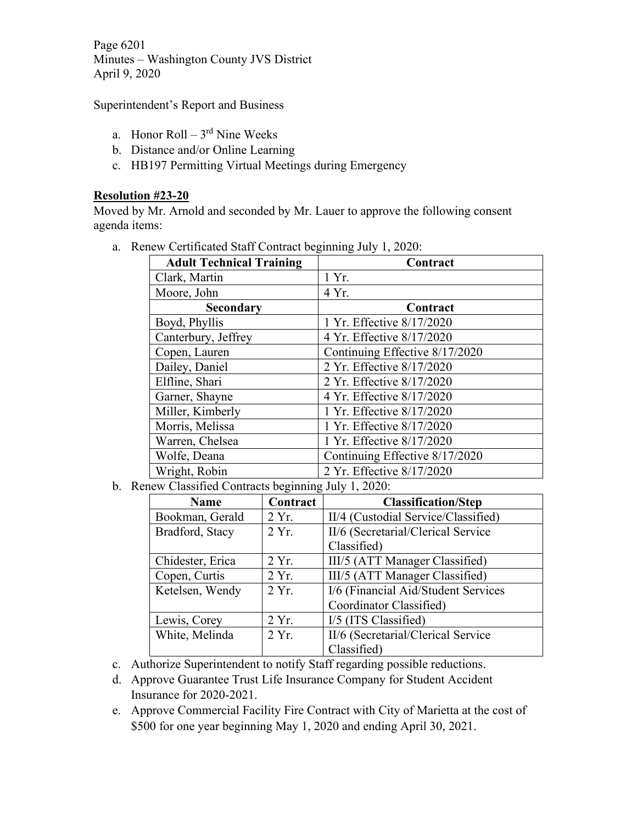Page 6201 Minutes – Washington County JVS District April 9, 2020

Superintendent's Report and Business

- a. Honor Roll  $3<sup>rd</sup>$  Nine Weeks
- b. Distance and/or Online Learning
- c. HB197 Permitting Virtual Meetings during Emergency

### **Resolution #23-20**

Moved by Mr. Arnold and seconded by Mr. Lauer to approve the following consent agenda items:

| $\mu$ new Certificated Staff Contract beginning July 1, 2020. |                                |  |
|---------------------------------------------------------------|--------------------------------|--|
| <b>Adult Technical Training</b>                               | Contract                       |  |
| Clark, Martin                                                 | 1 Yr.                          |  |
| Moore, John                                                   | 4 Yr.                          |  |
| Secondary                                                     | Contract                       |  |
| Boyd, Phyllis                                                 | 1 Yr. Effective 8/17/2020      |  |
| Canterbury, Jeffrey                                           | 4 Yr. Effective 8/17/2020      |  |
| Copen, Lauren                                                 | Continuing Effective 8/17/2020 |  |
| Dailey, Daniel                                                | 2 Yr. Effective 8/17/2020      |  |
| Elfline, Shari                                                | 2 Yr. Effective 8/17/2020      |  |
| Garner, Shayne                                                | 4 Yr. Effective 8/17/2020      |  |
| Miller, Kimberly                                              | 1 Yr. Effective 8/17/2020      |  |
| Morris, Melissa                                               | 1 Yr. Effective 8/17/2020      |  |
| Warren, Chelsea                                               | 1 Yr. Effective 8/17/2020      |  |
| Wolfe, Deana                                                  | Continuing Effective 8/17/2020 |  |
| Wright, Robin                                                 | 2 Yr. Effective 8/17/2020      |  |

a. Renew Certificated Staff Contract beginning July 1, 2020.

b. Renew Classified Contracts beginning July 1, 2020:

| <b>Name</b>      | Contract | <b>Classification/Step</b>          |
|------------------|----------|-------------------------------------|
| Bookman, Gerald  | 2 Yr.    | II/4 (Custodial Service/Classified) |
| Bradford, Stacy  | 2 Yr.    | II/6 (Secretarial/Clerical Service  |
|                  |          | Classified)                         |
| Chidester, Erica | 2 Yr.    | III/5 (ATT Manager Classified)      |
| Copen, Curtis    | 2 Yr.    | III/5 (ATT Manager Classified)      |
| Ketelsen, Wendy  | 2Yr.     | I/6 (Financial Aid/Student Services |
|                  |          | Coordinator Classified)             |
| Lewis, Corey     | 2 Yr.    | I/5 (ITS Classified)                |
| White, Melinda   | $2 Yr$ . | II/6 (Secretarial/Clerical Service  |
|                  |          | Classified)                         |

- c. Authorize Superintendent to notify Staff regarding possible reductions.
- d. Approve Guarantee Trust Life Insurance Company for Student Accident Insurance for 2020-2021.
- e. Approve Commercial Facility Fire Contract with City of Marietta at the cost of \$500 for one year beginning May 1, 2020 and ending April 30, 2021.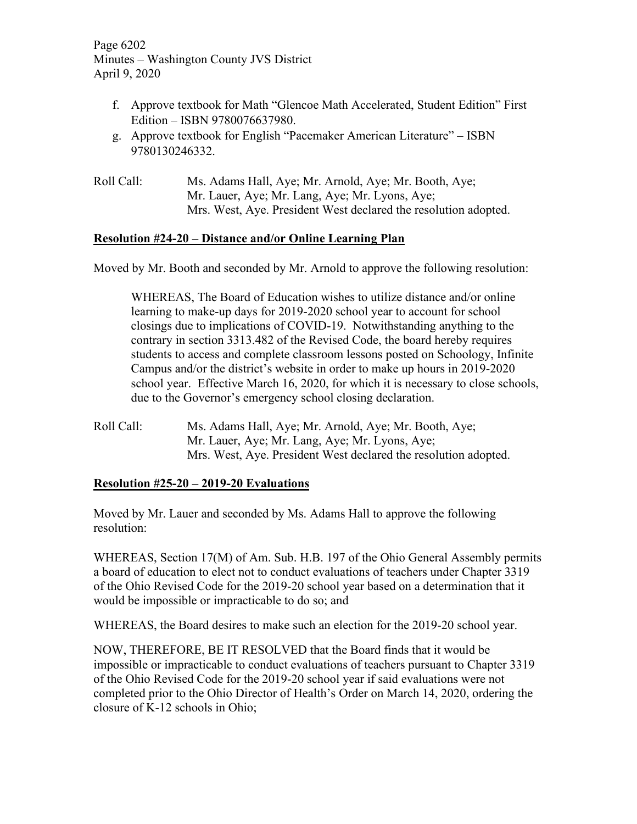Page 6202 Minutes – Washington County JVS District April 9, 2020

- f. Approve textbook for Math "Glencoe Math Accelerated, Student Edition" First Edition – ISBN 9780076637980.
- g. Approve textbook for English "Pacemaker American Literature" ISBN 9780130246332.
- Roll Call: Ms. Adams Hall, Aye; Mr. Arnold, Aye; Mr. Booth, Aye; Mr. Lauer, Aye; Mr. Lang, Aye; Mr. Lyons, Aye; Mrs. West, Aye. President West declared the resolution adopted.

### **Resolution #24-20 – Distance and/or Online Learning Plan**

Moved by Mr. Booth and seconded by Mr. Arnold to approve the following resolution:

WHEREAS, The Board of Education wishes to utilize distance and/or online learning to make-up days for 2019-2020 school year to account for school closings due to implications of COVID-19. Notwithstanding anything to the contrary in section 3313.482 of the Revised Code, the board hereby requires students to access and complete classroom lessons posted on Schoology, Infinite Campus and/or the district's website in order to make up hours in 2019-2020 school year. Effective March 16, 2020, for which it is necessary to close schools, due to the Governor's emergency school closing declaration.

Roll Call: Ms. Adams Hall, Aye; Mr. Arnold, Aye; Mr. Booth, Aye; Mr. Lauer, Aye; Mr. Lang, Aye; Mr. Lyons, Aye; Mrs. West, Aye. President West declared the resolution adopted.

### **Resolution #25-20 – 2019-20 Evaluations**

Moved by Mr. Lauer and seconded by Ms. Adams Hall to approve the following resolution:

WHEREAS, Section 17(M) of Am. Sub. H.B. 197 of the Ohio General Assembly permits a board of education to elect not to conduct evaluations of teachers under Chapter 3319 of the Ohio Revised Code for the 2019-20 school year based on a determination that it would be impossible or impracticable to do so; and

WHEREAS, the Board desires to make such an election for the 2019-20 school year.

NOW, THEREFORE, BE IT RESOLVED that the Board finds that it would be impossible or impracticable to conduct evaluations of teachers pursuant to Chapter 3319 of the Ohio Revised Code for the 2019-20 school year if said evaluations were not completed prior to the Ohio Director of Health's Order on March 14, 2020, ordering the closure of K-12 schools in Ohio;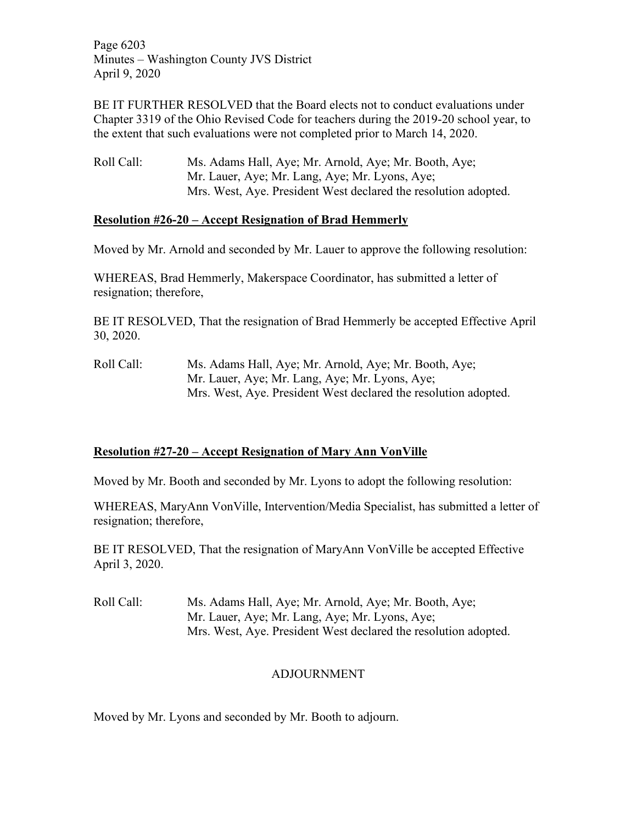Page 6203 Minutes – Washington County JVS District April 9, 2020

BE IT FURTHER RESOLVED that the Board elects not to conduct evaluations under Chapter 3319 of the Ohio Revised Code for teachers during the 2019-20 school year, to the extent that such evaluations were not completed prior to March 14, 2020.

Roll Call: Ms. Adams Hall, Aye; Mr. Arnold, Aye; Mr. Booth, Aye; Mr. Lauer, Aye; Mr. Lang, Aye; Mr. Lyons, Aye; Mrs. West, Aye. President West declared the resolution adopted.

### **Resolution #26-20 – Accept Resignation of Brad Hemmerly**

Moved by Mr. Arnold and seconded by Mr. Lauer to approve the following resolution:

WHEREAS, Brad Hemmerly, Makerspace Coordinator, has submitted a letter of resignation; therefore,

BE IT RESOLVED, That the resignation of Brad Hemmerly be accepted Effective April 30, 2020.

Roll Call: Ms. Adams Hall, Aye; Mr. Arnold, Aye; Mr. Booth, Aye; Mr. Lauer, Aye; Mr. Lang, Aye; Mr. Lyons, Aye; Mrs. West, Aye. President West declared the resolution adopted.

# **Resolution #27-20 – Accept Resignation of Mary Ann VonVille**

Moved by Mr. Booth and seconded by Mr. Lyons to adopt the following resolution:

WHEREAS, MaryAnn VonVille, Intervention/Media Specialist, has submitted a letter of resignation; therefore,

BE IT RESOLVED, That the resignation of MaryAnn VonVille be accepted Effective April 3, 2020.

Roll Call: Ms. Adams Hall, Aye; Mr. Arnold, Aye; Mr. Booth, Aye; Mr. Lauer, Aye; Mr. Lang, Aye; Mr. Lyons, Aye; Mrs. West, Aye. President West declared the resolution adopted.

# ADJOURNMENT

Moved by Mr. Lyons and seconded by Mr. Booth to adjourn.